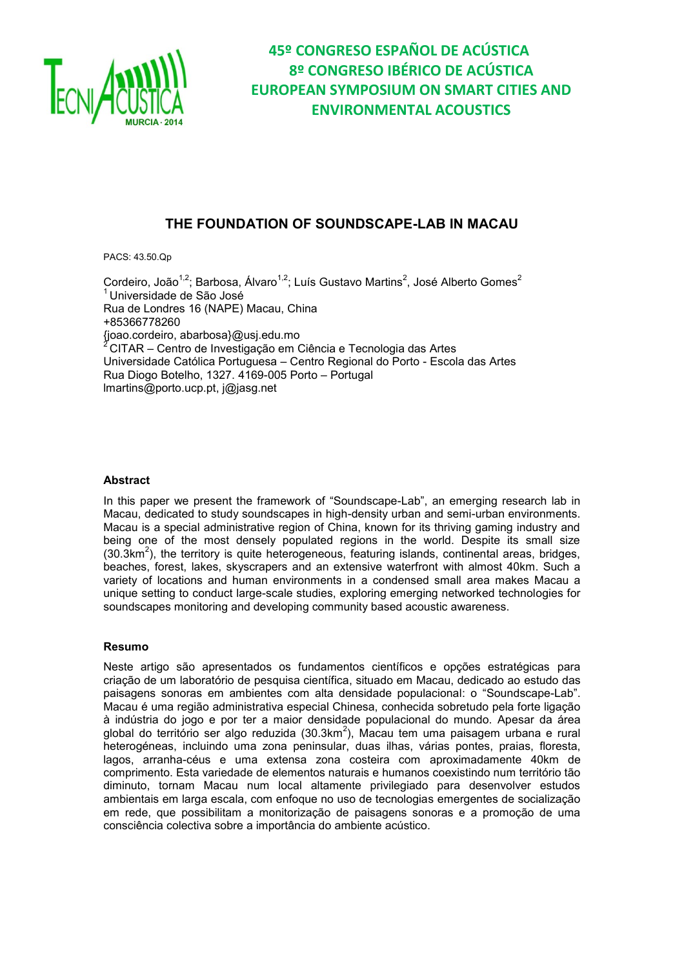

# **THE FOUNDATION OF SOUNDSCAPE-LAB IN MACAUL**

PACS: 43.50.Qp

Cordeiro, João<sup>1,2</sup>; Barbosa, Álvaro<sup>1,2</sup>; Luís Gustavo Martins<sup>2</sup>, José Alberto Gomes<sup>2</sup> <sup>1</sup> Universidade de São José Rua de Londres 16 (NAPE) Macau, China +85366778260 {joao.cordeiro, abarbosa}@usj.edu.mo <sup>2</sup> CITAR – Centro de Investigação em Ciência e Tecnologia das Artes Universidade Católica Portuguesa – Centro Regional do Porto - Escola das Artes Rua Diogo Botelho, 1327. 4169-005 Porto – Portugal lmartins@porto.ucp.pt, j@jasg.net

### **Abstract**

In this paper we present the framework of "Soundscape-Lab", an emerging research lab in Macau, dedicated to study soundscapes in high-density urban and semi-urban environments. Macau is a special administrative region of China, known for its thriving gaming industry and being one of the most densely populated regions in the world. Despite its small size  $(30.3km<sup>2</sup>)$ , the territory is quite heterogeneous, featuring islands, continental areas, bridges, beaches, forest, lakes, skyscrapers and an extensive waterfront with almost 40km. Such a variety of locations and human environments in a condensed small area makes Macau a unique setting to conduct large-scale studies, exploring emerging networked technologies for soundscapes monitoring and developing community based acoustic awareness.

### **Resumo**

Neste artigo são apresentados os fundamentos científicos e opções estratégicas para criação de um laboratório de pesquisa científica, situado em Macau, dedicado ao estudo das paisagens sonoras em ambientes com alta densidade populacional: o "Soundscape-Lab". Macau é uma região administrativa especial Chinesa, conhecida sobretudo pela forte ligação à indústria do jogo e por ter a maior densidade populacional do mundo. Apesar da área global do território ser algo reduzida (30.3km<sup>2</sup>), Macau tem uma paisagem urbana e rural heterogéneas, incluindo uma zona peninsular, duas ilhas, várias pontes, praias, floresta, lagos, arranha-céus e uma extensa zona costeira com aproximadamente 40km de comprimento. Esta variedade de elementos naturais e humanos coexistindo num território tão diminuto, tornam Macau num local altamente privilegiado para desenvolver estudos ambientais em larga escala, com enfoque no uso de tecnologias emergentes de socialização em rede, que possibilitam a monitorização de paisagens sonoras e a promoção de uma consciência colectiva sobre a importância do ambiente acústico.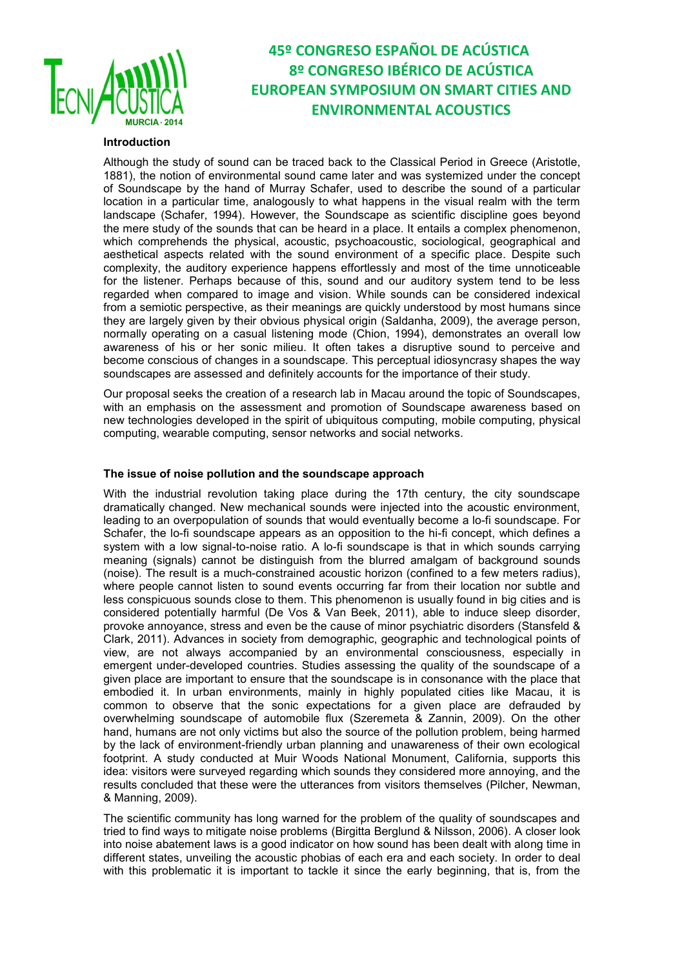

### **Introduction**

Although the study of sound can be traced back to the Classical Period in Greece (Aristotle, 1881), the notion of environmental sound came later and was systemized under the concept of Soundscape by the hand of Murray Schafer, used to describe the sound of a particular location in a particular time, analogously to what happens in the visual realm with the term landscape (Schafer, 1994). However, the Soundscape as scientific discipline goes beyond the mere study of the sounds that can be heard in a place. It entails a complex phenomenon, which comprehends the physical, acoustic, psychoacoustic, sociological, geographical and aesthetical aspects related with the sound environment of a specific place. Despite such complexity, the auditory experience happens effortlessly and most of the time unnoticeable for the listener. Perhaps because of this, sound and our auditory system tend to be less regarded when compared to image and vision. While sounds can be considered indexical from a semiotic perspective, as their meanings are quickly understood by most humans since they are largely given by their obvious physical origin (Saldanha, 2009), the average person, normally operating on a casual listening mode (Chion, 1994), demonstrates an overall low awareness of his or her sonic milieu. It often takes a disruptive sound to perceive and become conscious of changes in a soundscape. This perceptual idiosyncrasy shapes the way soundscapes are assessed and definitely accounts for the importance of their study.

Our proposal seeks the creation of a research lab in Macau around the topic of Soundscapes, with an emphasis on the assessment and promotion of Soundscape awareness based on new technologies developed in the spirit of ubiquitous computing, mobile computing, physical computing, wearable computing, sensor networks and social networks.

#### **The issue of noise pollution and the soundscape approach**

With the industrial revolution taking place during the 17th century, the city soundscape dramatically changed. New mechanical sounds were injected into the acoustic environment, leading to an overpopulation of sounds that would eventually become a lo-fi soundscape. For Schafer, the lo-fi soundscape appears as an opposition to the hi-fi concept, which defines a system with a low signal-to-noise ratio. A lo-fi soundscape is that in which sounds carrying meaning (signals) cannot be distinguish from the blurred amalgam of background sounds (noise). The result is a much-constrained acoustic horizon (confined to a few meters radius), where people cannot listen to sound events occurring far from their location nor subtle and less conspicuous sounds close to them. This phenomenon is usually found in big cities and is considered potentially harmful (De Vos & Van Beek, 2011), able to induce sleep disorder, provoke annoyance, stress and even be the cause of minor psychiatric disorders (Stansfeld & Clark, 2011). Advances in society from demographic, geographic and technological points of view, are not always accompanied by an environmental consciousness, especially in emergent under-developed countries. Studies assessing the quality of the soundscape of a given place are important to ensure that the soundscape is in consonance with the place that embodied it. In urban environments, mainly in highly populated cities like Macau, it is common to observe that the sonic expectations for a given place are defrauded by overwhelming soundscape of automobile flux (Szeremeta & Zannin, 2009). On the other hand, humans are not only victims but also the source of the pollution problem, being harmed by the lack of environment-friendly urban planning and unawareness of their own ecological footprint. A study conducted at Muir Woods National Monument, California, supports this idea: visitors were surveyed regarding which sounds they considered more annoying, and the results concluded that these were the utterances from visitors themselves (Pilcher, Newman, & Manning, 2009).

The scientific community has long warned for the problem of the quality of soundscapes and tried to find ways to mitigate noise problems (Birgitta Berglund & Nilsson, 2006). A closer look into noise abatement laws is a good indicator on how sound has been dealt with along time in different states, unveiling the acoustic phobias of each era and each society. In order to deal with this problematic it is important to tackle it since the early beginning, that is, from the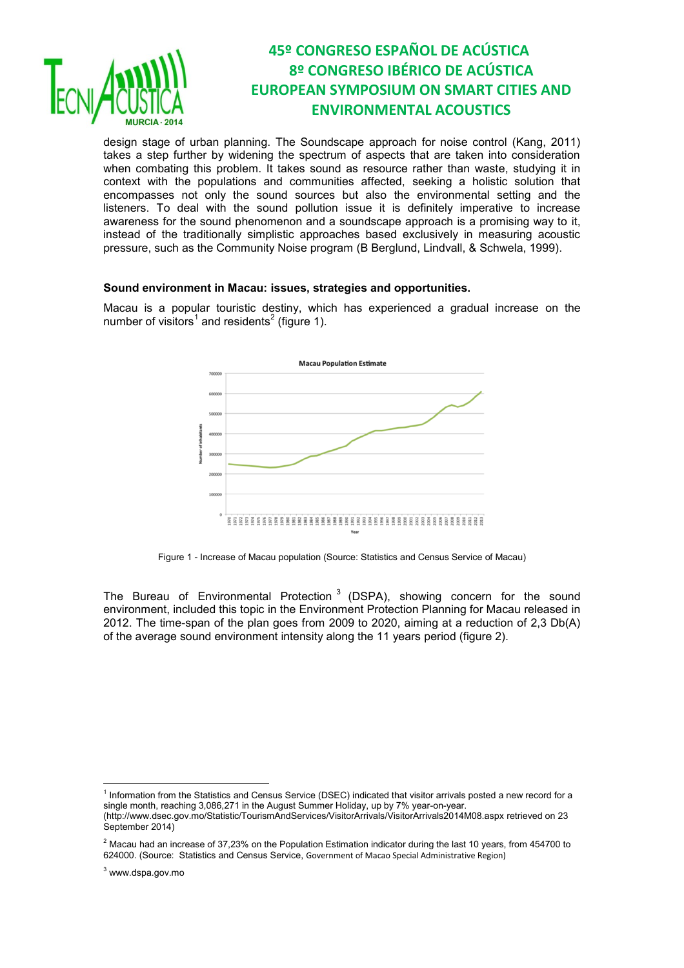

design stage of urban planning. The Soundscape approach for noise control (Kang, 2011) takes a step further by widening the spectrum of aspects that are taken into consideration when combating this problem. It takes sound as resource rather than waste, studying it in context with the populations and communities affected, seeking a holistic solution that encompasses not only the sound sources but also the environmental setting and the listeners. To deal with the sound pollution issue it is definitely imperative to increase awareness for the sound phenomenon and a soundscape approach is a promising way to it, instead of the traditionally simplistic approaches based exclusively in measuring acoustic pressure, such as the Community Noise program (B Berglund, Lindvall, & Schwela, 1999).

#### **Sound environment in Macau: issues, strategies and opportunities.**

Macau is a popular touristic destiny, which has experienced a gradual increase on the number of visitors<sup>1</sup> and residents<sup>2</sup> (figure 1).



Figure 1 - Increase of Macau population (Source: Statistics and Census Service of Macau)

The Bureau of Environmental Protection<sup>3</sup> (DSPA), showing concern for the sound environment, included this topic in the Environment Protection Planning for Macau released in 2012. The time-span of the plan goes from 2009 to 2020, aiming at a reduction of 2,3 Db(A) of the average sound environment intensity along the 11 years period (figure 2).

 $\overline{a}$ 

<sup>&</sup>lt;sup>1</sup> Information from the Statistics and Census Service (DSEC) indicated that visitor arrivals posted a new record for a single month, reaching 3,086,271 in the August Summer Holiday, up by 7% year-on-year. (http://www.dsec.gov.mo/Statistic/TourismAndServices/VisitorArrivals/VisitorArrivals2014M08.aspx retrieved on 23 September 2014)

 $2$  Macau had an increase of 37,23% on the Population Estimation indicator during the last 10 years, from 454700 to 624000. (Source: Statistics and Census Service, Government of Macao Special Administrative Region)

<sup>3</sup> www.dspa.gov.mo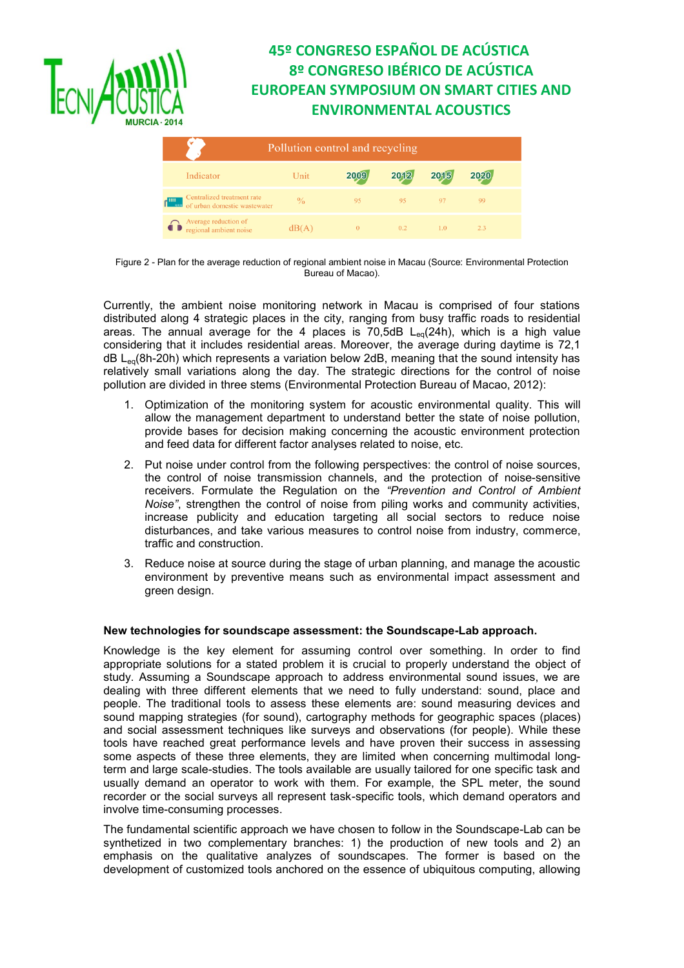

| ∀<br>Pollution control and recycling                                     |       |          |      |      |      |  |
|--------------------------------------------------------------------------|-------|----------|------|------|------|--|
| Indicator                                                                | Unit  | 2009     | 2012 | 2015 | 2020 |  |
| Centralized treatment rate<br>-88<br>of urban domestic wastewater<br>ಂಜಜ | $\%$  | 95       | 95   | 97   | 99   |  |
| Average reduction of<br>regional ambient noise                           | dB(A) | $\theta$ | 0.2  | 1.0  | 2.3  |  |

Figure 2 - Plan for the average reduction of regional ambient noise in Macau (Source: Environmental Protection Bureau of Macao).

Currently, the ambient noise monitoring network in Macau is comprised of four stations distributed along 4 strategic places in the city, ranging from busy traffic roads to residential areas. The annual average for the 4 places is  $70,5$ dB L<sub>eq</sub>(24h), which is a high value considering that it includes residential areas. Moreover, the average during daytime is 72,1  $dB$  L<sub>eg</sub>(8h-20h) which represents a variation below 2dB, meaning that the sound intensity has relatively small variations along the day. The strategic directions for the control of noise pollution are divided in three stems (Environmental Protection Bureau of Macao, 2012):

- 1. Optimization of the monitoring system for acoustic environmental quality. This will allow the management department to understand better the state of noise pollution, provide bases for decision making concerning the acoustic environment protection and feed data for different factor analyses related to noise, etc.
- 2. Put noise under control from the following perspectives: the control of noise sources, the control of noise transmission channels, and the protection of noise-sensitive receivers. Formulate the Regulation on the *"Prevention and Control of Ambient Noise"*, strengthen the control of noise from piling works and community activities, increase publicity and education targeting all social sectors to reduce noise disturbances, and take various measures to control noise from industry, commerce, traffic and construction.
- 3. Reduce noise at source during the stage of urban planning, and manage the acoustic environment by preventive means such as environmental impact assessment and green design.

## **New technologies for soundscape assessment: the Soundscape-Lab approach.**

Knowledge is the key element for assuming control over something. In order to find appropriate solutions for a stated problem it is crucial to properly understand the object of study. Assuming a Soundscape approach to address environmental sound issues, we are dealing with three different elements that we need to fully understand: sound, place and people. The traditional tools to assess these elements are: sound measuring devices and sound mapping strategies (for sound), cartography methods for geographic spaces (places) and social assessment techniques like surveys and observations (for people). While these tools have reached great performance levels and have proven their success in assessing some aspects of these three elements, they are limited when concerning multimodal longterm and large scale-studies. The tools available are usually tailored for one specific task and usually demand an operator to work with them. For example, the SPL meter, the sound recorder or the social surveys all represent task-specific tools, which demand operators and involve time-consuming processes.

The fundamental scientific approach we have chosen to follow in the Soundscape-Lab can be synthetized in two complementary branches: 1) the production of new tools and 2) an emphasis on the qualitative analyzes of soundscapes. The former is based on the development of customized tools anchored on the essence of ubiquitous computing, allowing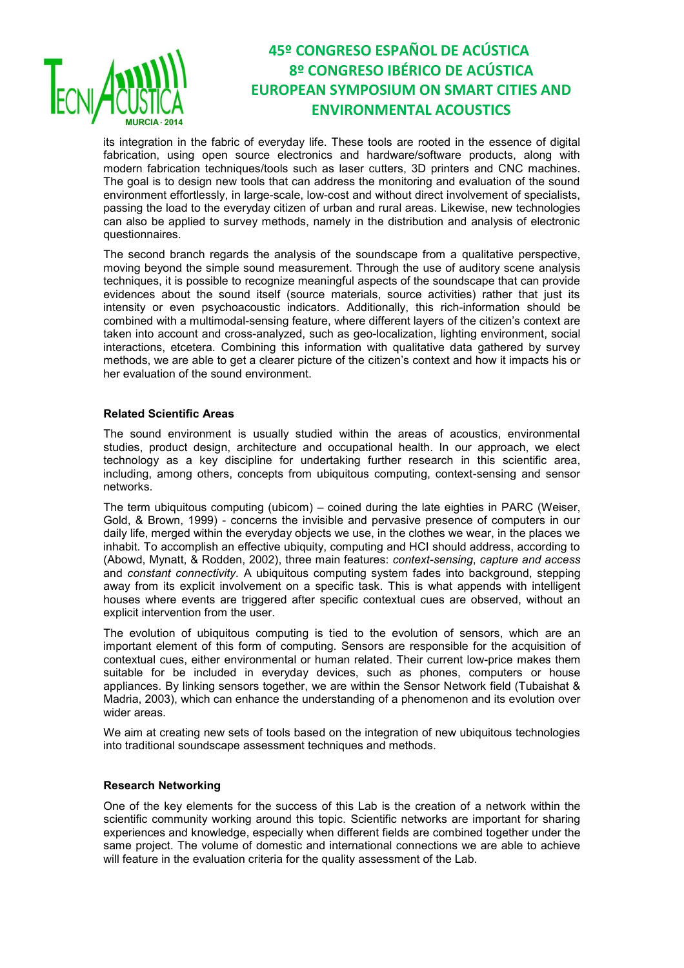

its integration in the fabric of everyday life. These tools are rooted in the essence of digital fabrication, using open source electronics and hardware/software products, along with modern fabrication techniques/tools such as laser cutters, 3D printers and CNC machines. The goal is to design new tools that can address the monitoring and evaluation of the sound environment effortlessly, in large-scale, low-cost and without direct involvement of specialists, passing the load to the everyday citizen of urban and rural areas. Likewise, new technologies can also be applied to survey methods, namely in the distribution and analysis of electronic questionnaires.

The second branch regards the analysis of the soundscape from a qualitative perspective, moving beyond the simple sound measurement. Through the use of auditory scene analysis techniques, it is possible to recognize meaningful aspects of the soundscape that can provide evidences about the sound itself (source materials, source activities) rather that just its intensity or even psychoacoustic indicators. Additionally, this rich-information should be combined with a multimodal-sensing feature, where different layers of the citizen's context are taken into account and cross-analyzed, such as geo-localization, lighting environment, social interactions, etcetera. Combining this information with qualitative data gathered by survey methods, we are able to get a clearer picture of the citizen's context and how it impacts his or her evaluation of the sound environment.

### **Related Scientific Areas**

The sound environment is usually studied within the areas of acoustics, environmental studies, product design, architecture and occupational health. In our approach, we elect technology as a key discipline for undertaking further research in this scientific area, including, among others, concepts from ubiquitous computing, context-sensing and sensor networks.

The term ubiquitous computing (ubicom) – coined during the late eighties in PARC (Weiser, Gold, & Brown, 1999) - concerns the invisible and pervasive presence of computers in our daily life, merged within the everyday objects we use, in the clothes we wear, in the places we inhabit. To accomplish an effective ubiquity, computing and HCI should address, according to (Abowd, Mynatt, & Rodden, 2002), three main features: *context-sensing*, *capture and access* and *constant connectivity.* A ubiquitous computing system fades into background, stepping away from its explicit involvement on a specific task. This is what appends with intelligent houses where events are triggered after specific contextual cues are observed, without an explicit intervention from the user.

The evolution of ubiquitous computing is tied to the evolution of sensors, which are an important element of this form of computing. Sensors are responsible for the acquisition of contextual cues, either environmental or human related. Their current low-price makes them suitable for be included in everyday devices, such as phones, computers or house appliances. By linking sensors together, we are within the Sensor Network field (Tubaishat & Madria, 2003), which can enhance the understanding of a phenomenon and its evolution over wider areas.

We aim at creating new sets of tools based on the integration of new ubiquitous technologies into traditional soundscape assessment techniques and methods.

#### **Research Networking**

One of the key elements for the success of this Lab is the creation of a network within the scientific community working around this topic. Scientific networks are important for sharing experiences and knowledge, especially when different fields are combined together under the same project. The volume of domestic and international connections we are able to achieve will feature in the evaluation criteria for the quality assessment of the Lab.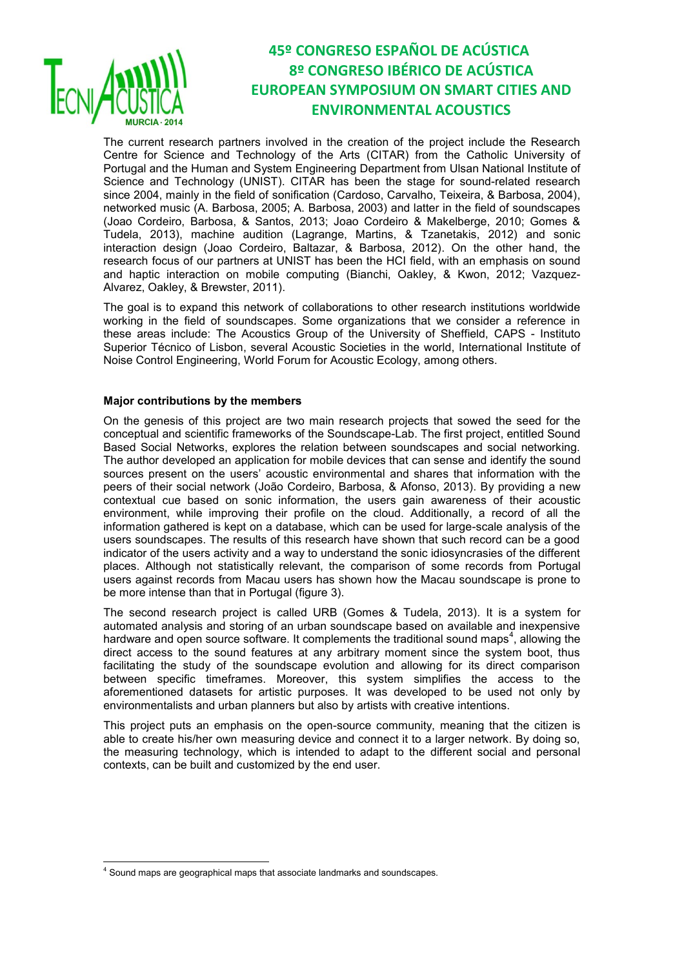

 $\overline{\phantom{a}}$ 

# **45º CONGRESO ESPAÑOL DE ACÚSTICA 8º CONGRESO IBÉRICO DE ACÚSTICA EUROPEAN SYMPOSIUM ON SMART CITIES AND ENVIRONMENTAL ACOUSTICS**

The current research partners involved in the creation of the project include the Research Centre for Science and Technology of the Arts (CITAR) from the Catholic University of Portugal and the Human and System Engineering Department from Ulsan National Institute of Science and Technology (UNIST). CITAR has been the stage for sound-related research since 2004, mainly in the field of sonification (Cardoso, Carvalho, Teixeira, & Barbosa, 2004), networked music (A. Barbosa, 2005; A. Barbosa, 2003) and latter in the field of soundscapes (Joao Cordeiro, Barbosa, & Santos, 2013; Joao Cordeiro & Makelberge, 2010; Gomes & Tudela, 2013), machine audition (Lagrange, Martins, & Tzanetakis, 2012) and sonic interaction design (Joao Cordeiro, Baltazar, & Barbosa, 2012). On the other hand, the research focus of our partners at UNIST has been the HCI field, with an emphasis on sound and haptic interaction on mobile computing (Bianchi, Oakley, & Kwon, 2012; Vazquez-Alvarez, Oakley, & Brewster, 2011).

The goal is to expand this network of collaborations to other research institutions worldwide working in the field of soundscapes. Some organizations that we consider a reference in these areas include: The Acoustics Group of the University of Sheffield, CAPS - Instituto Superior Técnico of Lisbon, several Acoustic Societies in the world, International Institute of Noise Control Engineering, World Forum for Acoustic Ecology, among others.

### **Major contributions by the members**

On the genesis of this project are two main research projects that sowed the seed for the conceptual and scientific frameworks of the Soundscape-Lab. The first project, entitled Sound Based Social Networks, explores the relation between soundscapes and social networking. The author developed an application for mobile devices that can sense and identify the sound sources present on the users' acoustic environmental and shares that information with the peers of their social network (João Cordeiro, Barbosa, & Afonso, 2013). By providing a new contextual cue based on sonic information, the users gain awareness of their acoustic environment, while improving their profile on the cloud. Additionally, a record of all the information gathered is kept on a database, which can be used for large-scale analysis of the users soundscapes. The results of this research have shown that such record can be a good indicator of the users activity and a way to understand the sonic idiosyncrasies of the different places. Although not statistically relevant, the comparison of some records from Portugal users against records from Macau users has shown how the Macau soundscape is prone to be more intense than that in Portugal (figure 3).

The second research project is called URB (Gomes & Tudela, 2013). It is a system for automated analysis and storing of an urban soundscape based on available and inexpensive hardware and open source software. It complements the traditional sound maps<sup>4</sup>, allowing the direct access to the sound features at any arbitrary moment since the system boot, thus facilitating the study of the soundscape evolution and allowing for its direct comparison between specific timeframes. Moreover, this system simplifies the access to the aforementioned datasets for artistic purposes. It was developed to be used not only by environmentalists and urban planners but also by artists with creative intentions.

This project puts an emphasis on the open-source community, meaning that the citizen is able to create his/her own measuring device and connect it to a larger network. By doing so, the measuring technology, which is intended to adapt to the different social and personal contexts, can be built and customized by the end user.

<sup>&</sup>lt;sup>4</sup> Sound maps are geographical maps that associate landmarks and soundscapes.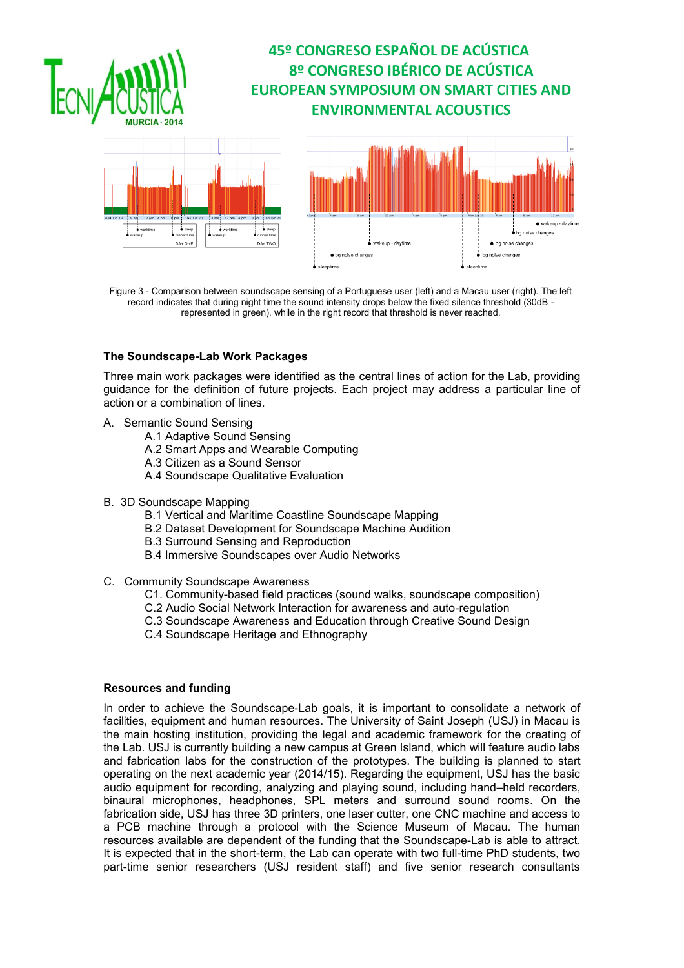

akeup - dayti



Figure 3 - Comparison between soundscape sensing of a Portuguese user (left) and a Macau user (right). The left record indicates that during night time the sound intensity drops below the fixed silence threshold (30dB represented in green), while in the right record that threshold is never reached.

### **The Soundscape-Lab Work Packages**

Three main work packages were identified as the central lines of action for the Lab, providing guidance for the definition of future projects. Each project may address a particular line of action or a combination of lines.

- A. Semantic Sound Sensing
	- A.1 Adaptive Sound Sensing
	- A.2 Smart Apps and Wearable Computing
	- A.3 Citizen as a Sound Sensor
	- A.4 Soundscape Qualitative Evaluation
- B. 3D Soundscape Mapping
	- B.1 Vertical and Maritime Coastline Soundscape Mapping
	- B.2 Dataset Development for Soundscape Machine Audition
	- B.3 Surround Sensing and Reproduction
	- B.4 Immersive Soundscapes over Audio Networks
- C. Community Soundscape Awareness
	- C1. Community-based field practices (sound walks, soundscape composition)
	- C.2 Audio Social Network Interaction for awareness and auto-regulation
	- C.3 Soundscape Awareness and Education through Creative Sound Design
	- C.4 Soundscape Heritage and Ethnography

### **Resources and funding**

In order to achieve the Soundscape-Lab goals, it is important to consolidate a network of facilities, equipment and human resources. The University of Saint Joseph (USJ) in Macau is the main hosting institution, providing the legal and academic framework for the creating of the Lab. USJ is currently building a new campus at Green Island, which will feature audio labs and fabrication labs for the construction of the prototypes. The building is planned to start operating on the next academic year (2014/15). Regarding the equipment, USJ has the basic audio equipment for recording, analyzing and playing sound, including hand–held recorders, binaural microphones, headphones, SPL meters and surround sound rooms. On the fabrication side, USJ has three 3D printers, one laser cutter, one CNC machine and access to a PCB machine through a protocol with the Science Museum of Macau. The human resources available are dependent of the funding that the Soundscape-Lab is able to attract. It is expected that in the short-term, the Lab can operate with two full-time PhD students, two part-time senior researchers (USJ resident staff) and five senior research consultants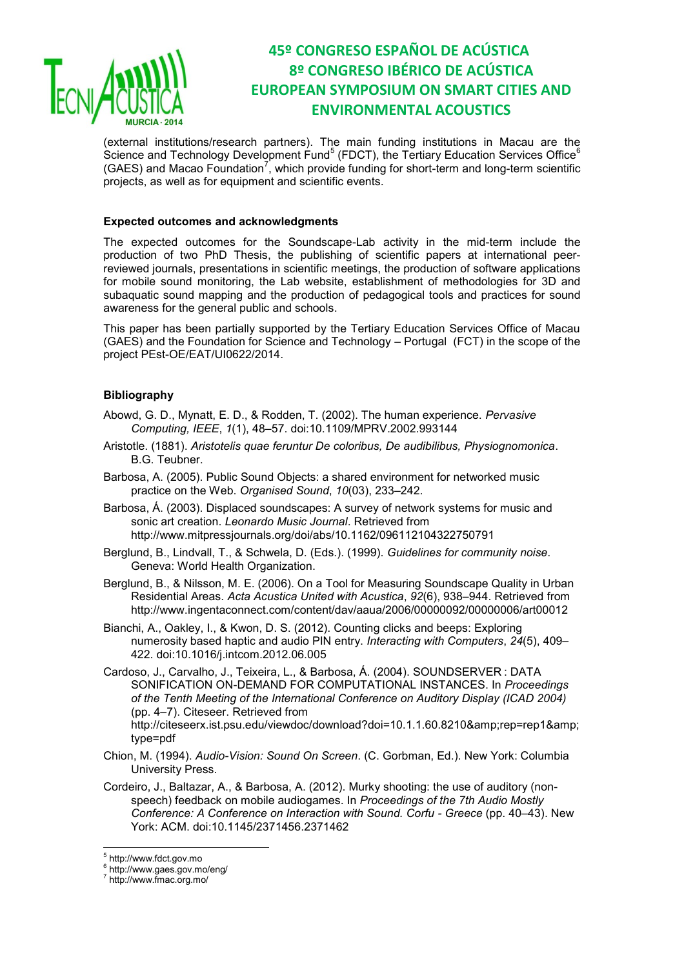

(external institutions/research partners). The main funding institutions in Macau are the Science and Technology Development Fund<sup>5</sup> (FDCT), the Tertiary Education Services Office<sup>6</sup> (GAES) and Macao Foundation<sup>7</sup>, which provide funding for short-term and long-term scientific projects, as well as for equipment and scientific events.

### **Expected outcomes and acknowledgments**

The expected outcomes for the Soundscape-Lab activity in the mid-term include the production of two PhD Thesis, the publishing of scientific papers at international peerreviewed journals, presentations in scientific meetings, the production of software applications for mobile sound monitoring, the Lab website, establishment of methodologies for 3D and subaquatic sound mapping and the production of pedagogical tools and practices for sound awareness for the general public and schools.

This paper has been partially supported by the Tertiary Education Services Office of Macau (GAES) and the Foundation for Science and Technology – Portugal (FCT) in the scope of the project PEst-OE/EAT/UI0622/2014.

### **Bibliography**

- Abowd, G. D., Mynatt, E. D., & Rodden, T. (2002). The human experience. *Pervasive Computing, IEEE*, *1*(1), 48–57. doi:10.1109/MPRV.2002.993144
- Aristotle. (1881). *Aristotelis quae feruntur De coloribus, De audibilibus, Physiognomonica*. B.G. Teubner.
- Barbosa, A. (2005). Public Sound Objects: a shared environment for networked music practice on the Web. *Organised Sound*, *10*(03), 233–242.
- Barbosa, Á. (2003). Displaced soundscapes: A survey of network systems for music and sonic art creation. *Leonardo Music Journal*. Retrieved from http://www.mitpressjournals.org/doi/abs/10.1162/096112104322750791
- Berglund, B., Lindvall, T., & Schwela, D. (Eds.). (1999). *Guidelines for community noise*. Geneva: World Health Organization.
- Berglund, B., & Nilsson, M. E. (2006). On a Tool for Measuring Soundscape Quality in Urban Residential Areas. *Acta Acustica United with Acustica*, *92*(6), 938–944. Retrieved from http://www.ingentaconnect.com/content/dav/aaua/2006/00000092/00000006/art00012
- Bianchi, A., Oakley, I., & Kwon, D. S. (2012). Counting clicks and beeps: Exploring numerosity based haptic and audio PIN entry. *Interacting with Computers*, *24*(5), 409– 422. doi:10.1016/j.intcom.2012.06.005
- Cardoso, J., Carvalho, J., Teixeira, L., & Barbosa, Á. (2004). SOUNDSERVER : DATA SONIFICATION ON-DEMAND FOR COMPUTATIONAL INSTANCES. In *Proceedings of the Tenth Meeting of the International Conference on Auditory Display (ICAD 2004)* (pp. 4–7). Citeseer. Retrieved from

http://citeseerx.ist.psu.edu/viewdoc/download?doi=10.1.1.60.8210&rep=rep1& type=pdf

Chion, M. (1994). *Audio-Vision: Sound On Screen*. (C. Gorbman, Ed.). New York: Columbia University Press.

Cordeiro, J., Baltazar, A., & Barbosa, A. (2012). Murky shooting: the use of auditory (nonspeech) feedback on mobile audiogames. In *Proceedings of the 7th Audio Mostly Conference: A Conference on Interaction with Sound. Corfu - Greece* (pp. 40–43). New York: ACM. doi:10.1145/2371456.2371462

 $\overline{\phantom{a}}$ 

<sup>5</sup> http://www.fdct.gov.mo

<sup>6</sup> http://www.gaes.gov.mo/eng/

<sup>7</sup> http://www.fmac.org.mo/